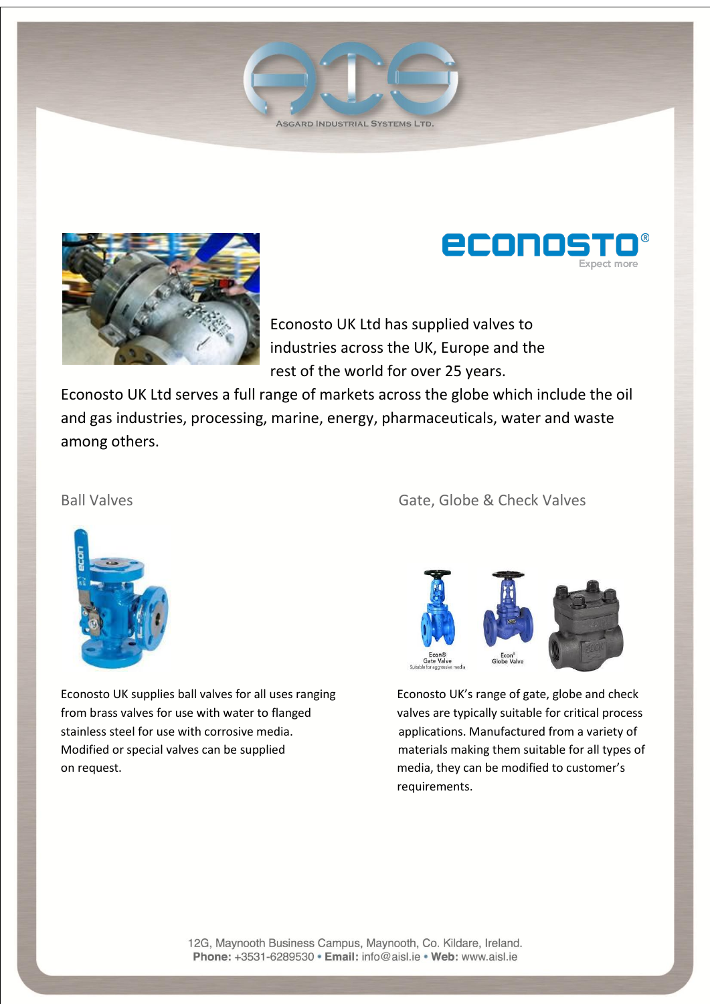





Econosto UK Ltd has supplied valves to industries across the UK, Europe and the rest of the world for over 25 years.

Econosto UK Ltd serves a full range of markets across the globe which include the oil and gas industries, processing, marine, energy, pharmaceuticals, water and waste among others.



Econosto UK supplies ball valves for all uses ranging Econosto UK's range of gate, globe and check from brass valves for use with water to flanged valves are typically suitable for critical process stainless steel for use with corrosive media. An applications. Manufactured from a variety of Modified or special valves can be supplied materials making them suitable for all types of on request. media, they can be modified to customer's

### Ball Valves **Gate, Globe & Check Valves** Gate, Globe & Check Valves



requirements.